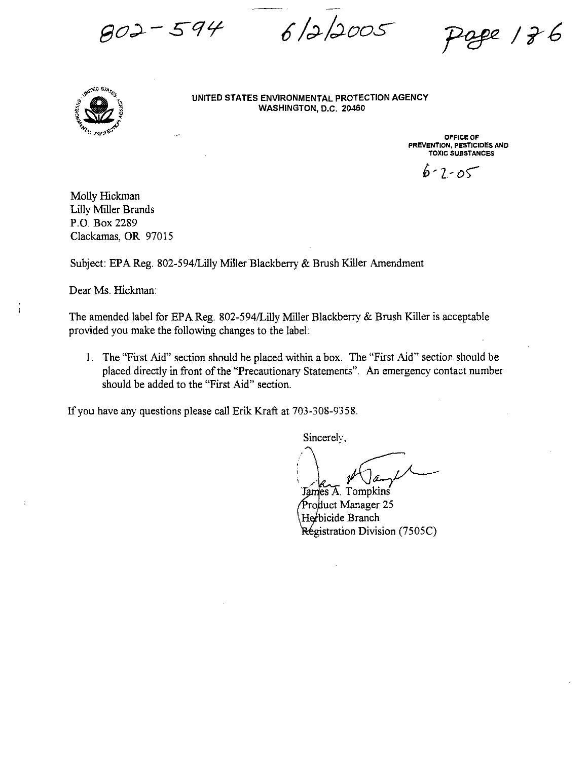$902 - 594$ 

 $6/2/2005$ 

ge 176



UNITED STATES ENVIRONMENTAL PROTECTION AGENCY WASHINGTON, D.C. 20460

> OFFICE OF **PREVENTION, PESTICIDES AND TOXIC SUBSTANCES**

 $6 - 7 - 05$ 

Molly Hickman Lilly Miller Brands P.O. Box 2289 Clackamas, OR 97015

Subject: EPA Reg. 802-5941Lilly Miller Blackberry & Brush Killer Amendment

Dear Ms. Hickman:

The amended label for EPA Reg. 802-594/Lilly Miller Blackberry & Brush Killer is acceptable provided you make the following changes to the label:

1. The "First Aid" section should be placed within a box. The "First Aid" section should be placed directly in front of the "Precautionary Statements". An emergency contact number should be added to the "First Aid" section.

If you have any questions please call Erik Kraft at 703-308-9358.

Sincerely,

Tames A. Tompkins

Product Manager 25 Herbicide Branch Régistration Division (7505C)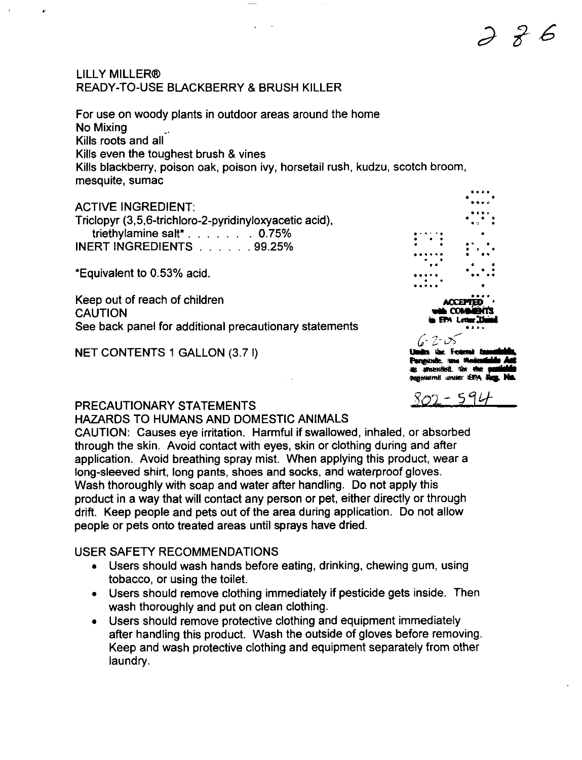$286$ 

### LILLY MILLER® READY-TO-USE BLACKBERRY & BRUSH KILLER

For use on woody plants in outdoor areas around the home No Mixing Kills roots and all Kills even the toughest brush & vines Kills blackberry, poison oak, poison ivy, horsetail rush, kudzu, scotch broom, mesquite, sumac

**ACTIVE INGREDIENT:** 

.

Triclopyr (3,5,6-trichloro-2-pyridinyloxyacetic acid), triethylamine salt". . . . . . . 0.75% INERT INGREDIENTS . . . . . . 99.25%

\*Equivalent to  $0.53\%$  acid.

Keep out of reach of children CAUTION See back panel for additional precautionary statements

NET CONTENTS 1 GALLON (3.71)

# PRECAUTIONARY STATEMENTS

HAZARDS TO HUMANS AND DOMESTIC ANIMALS

CAUTION: Causes eye irritation. Harmful if swallowed, inhaled, or absorbed through the skin. Avoid contact with eyes, skin or clothing during and after application. Avoid breathing spray mist. When applying this product, wear a long-sleeved shirt, long pants, shoes and socks, and waterproof gloves. Wash thoroughly with soap and water after handling. Do not apply this product in a way that will contact any person or pet, either directly or through drift. Keep people and pets out of the area during application. Do not allow people or pets onto treated areas until sprays have dried.

# USER SAFETY RECOMMENDATIONS

- Users should wash hands before eating, drinking, chewing gum, using tobacco, or using the toilet.
- Users should remove clothing immediately if pesticide gets inside. Then wash thoroughly and put on clean clothing.
- Users should remove protective clothing and equipment immediately after handling this product. Wash the outside of gloves before removing. Keep and wash protective clothing and equipment separately from other laundry.

\* ....°<br>.\*\*\* .<br>... • · - <sup>~</sup>- .. · .. • • · .. . . . · ... . ~ ... . · .. .. • • · .. . .. . .  $\cdots$ 

•

san baikumu. **Military Thuman Brunstane** 

 $807 - 596$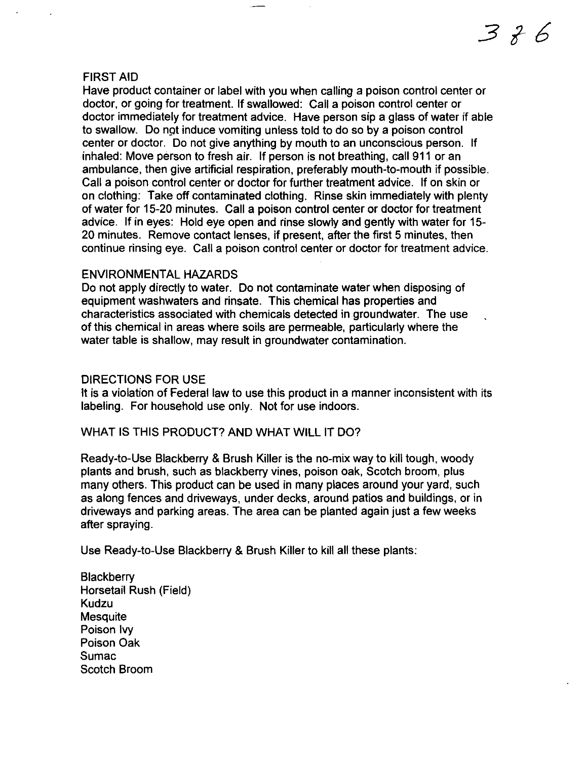#### FIRST AID

Have product container or label with you when calling a poison control center or doctor, or going for treatment. If swallowed: Call a poison control center or doctor immediately for treatment advice. Have person sip a glass of water if able to swallow. Do not induce vomiting unless told to do so by a poison control center or doctor. Do not give anything by mouth to an unconscious person. If inhaled: Move person to fresh air. If person is not breathing, call 911 or an ambulance, then give artificial respiration, preferably mouth-to-mouth if possible. Call a poison control center or doctor for further treatment advice. If on skin or on clothing: Take off contaminated clothing. Rinse skin immediately with plenty of water for 15-20 minutes. Call a poison control center or doctor for treatment advice. If in eyes: Hold eye open and rinse slowly and gently with water for 15- 20 minutes. Remove contact lenses, if present, after the first 5 minutes, then continue rinsing eye. Call a poison control center or doctor for treatment advice.

3;6

### ENVIRONMENTAL HAZARDS

Do not apply directly to water. Do not contaminate water when disposing of equipment washwaters and rinsate. This chemical has properties and characteristics associated with chemicals detected in groundwater. The use of this chemical in areas where soils are permeable, particularly where the water table is shallow, may result in groundwater contamination.

#### DIRECTIONS FOR USE

It is a violation of Federal law to use this product in a manner inconsistent with its labeling. For household use only. Not for use indoors.

### WHAT IS THIS PRODUCT? AND WHAT WILL IT DO?

Ready-to-Use Blackberry & Brush Killer is the no-mix way to kill tough, woody plants and brush, such as blackberry vines, poison oak, Scotch broom, plus many others. This product can be used in many places around your yard, such as along fences and driveways, under decks, around patios and buildings, or in driveways and parking areas. The area can be planted again just a few weeks after spraying.

Use Ready-to-Use Blackberry & Brush Killer to kill all these plants:

**Blackberry** Horsetail Rush (Field) Kudzu **Mesquite** Poison Ivy Poison Oak Sumac Scotch Broom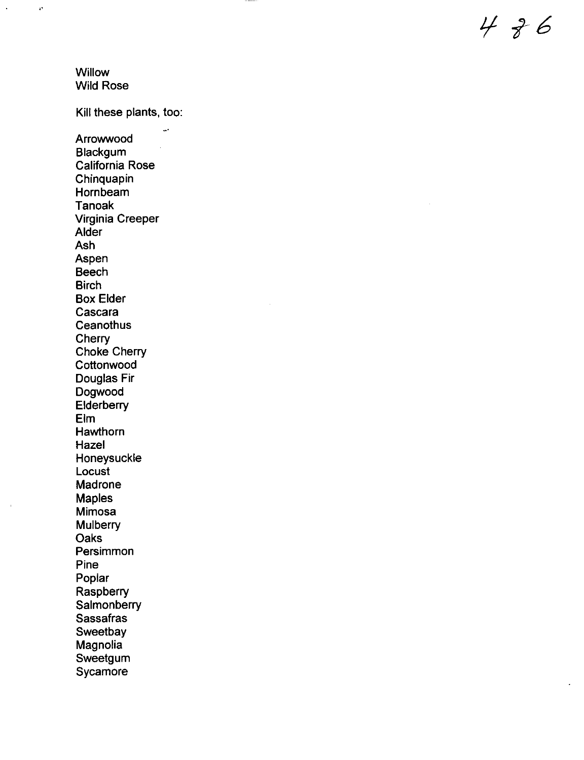$486$ 

**Willow** Wild Rose

.'

Kill these plants, too:

j.

Arrowwood Blackgum California Rose Chinquapin Hornbeam Tanoak Virginia Creeper Alder Ash Aspen **Beech Birch** Box Elder Cascara **Ceanothus Cherry** Choke Cherry **Cottonwood** Douglas Fir Dogwood **Elderberry** Elm **Hawthorn** Hazel Honeysuckle Locust **Madrone** Maples Mimosa **Mulberry** Oaks **Persimmon** Pine Poplar **Raspberry Salmonberry** Sassafras **Sweetbay** Magnolia Sweetgum **Sycamore**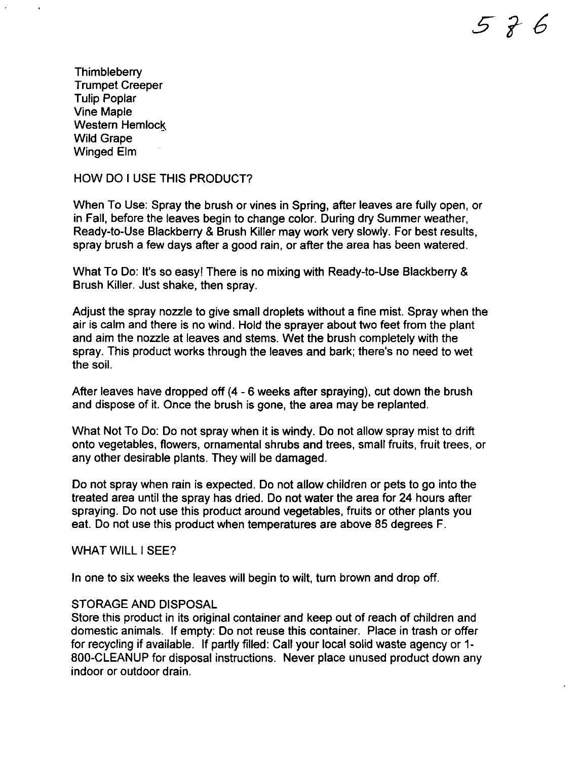$576$ 

**Thimbleberry** Trumpet Creeper Tulip Poplar Vine Maple Western Hemlock Wild Grape Winged Elm

HOW DO I USE THIS PRODUCT?

When To Use: Spray the brush or vines in Spring, after leaves are fully open, or in Fall, before the leaves begin to change color. During dry Summer weather, Ready-to-Use Blackberry & Brush Killer may work very slowly. For best results, spray brush a few days after a good rain, or after the area has been watered.

What To Do: It's so easy! There is no mixing with Ready-to-Use Blackberry & Brush Killer. Just shake, then spray.

Adjust the spray nozzle to give small droplets without a fine mist. Spray when the air is calm and there is no wind. Hold the sprayer about two feet from the plant and aim the nozzle at leaves and stems. Wet the brush completely with the spray. This product works through the leaves and bark; there's no need to wet the soil.

After leaves have dropped off (4 - 6 weeks after spraying), cut down the brush and dispose of it. Once the brush is gone, the area may be replanted.

What Not To Do: Do not spray when it is windy. Do not allow spray mist to drift onto vegetables, flowers, ornamental shrubs and trees, small fruits, fruit trees, or any other desirable plants. They will be damaged.

Do not spray when rain is expected. Do not allow children or pets to go into the treated area until the spray has dried. Do not water the area for 24 hours after spraying. Do not use this product around vegetables, fruits or other plants you eat. Do not use this product when temperatures are above B5 degrees F.

WHAT WILL I SEE?

In one to six weeks the leaves will begin to wilt, turn brown and drop off.

# STORAGE AND DISPOSAL

Store this product in its original container and keep out of reach of children and domestic animals. If empty: Do not reuse this container. Place in trash or offer for recycling if available. If partly filled: Call your local solid waste agency or 1- BOO-CLEANUP for disposal instructions. Never place unused product down any indoor or outdoor drain.